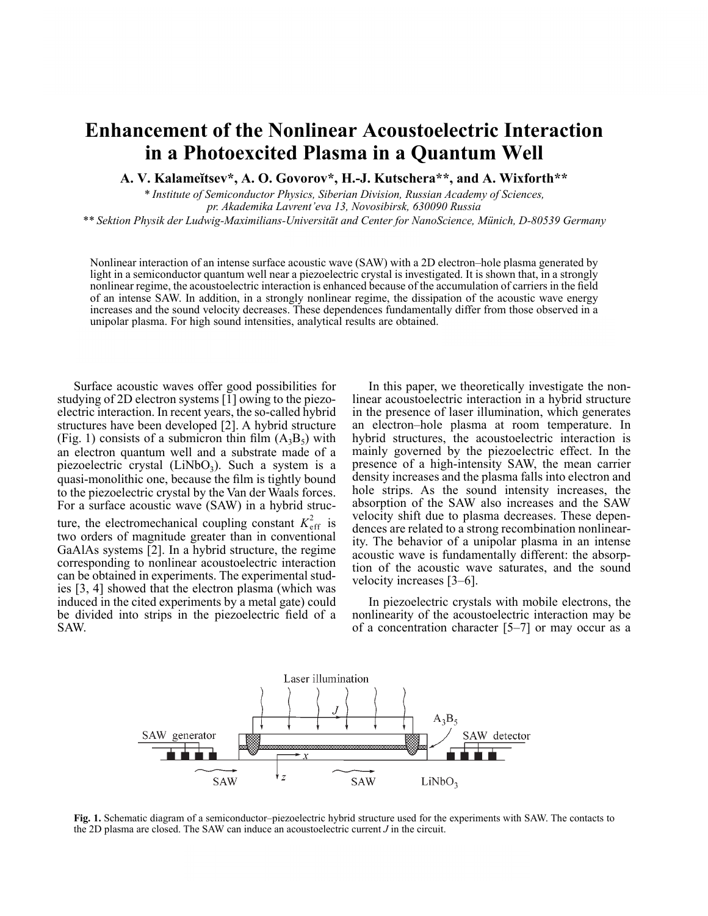## **Enhancement of the Nonlinear Acoustoelectric Interaction in a Photoexcited Plasma in a Quantum Well**

**A. V. Kalameœtsev\*, A. O. Govorov\*, H.-J. Kutschera\*\*, and A. Wixforth\*\***

*\* Institute of Semiconductor Physics, Siberian Division, Russian Academy of Sciences, pr. Akademika Lavrent'eva 13, Novosibirsk, 630090 Russia*

*\*\* Sektion Physik der Ludwig-Maximilians-Universität and Center for NanoScience, Münich, D-80539 Germany*

Nonlinear interaction of an intense surface acoustic wave (SAW) with a 2D electron–hole plasma generated by light in a semiconductor quantum well near a piezoelectric crystal is investigated. It is shown that, in a strongly nonlinear regime, the acoustoelectric interaction is enhanced because of the accumulation of carriers in the field of an intense SAW. In addition, in a strongly nonlinear regime, the dissipation of the acoustic wave energy increases and the sound velocity decreases. These dependences fundamentally differ from those observed in a unipolar plasma. For high sound intensities, analytical results are obtained.

Surface acoustic waves offer good possibilities for studying of 2D electron systems [1] owing to the piezoelectric interaction. In recent years, the so-called hybrid structures have been developed [2]. A hybrid structure (Fig. 1) consists of a submicron thin film  $(A_3B_5)$  with an electron quantum well and a substrate made of a piezoelectric crystal  $(LiNbO<sub>3</sub>)$ . Such a system is a quasi-monolithic one, because the film is tightly bound to the piezoelectric crystal by the Van der Waals forces. For a surface acoustic wave (SAW) in a hybrid structure, the electromechanical coupling constant  $K_{\text{eff}}^2$  is

two orders of magnitude greater than in conventional GaAlAs systems [2]. In a hybrid structure, the regime corresponding to nonlinear acoustoelectric interaction can be obtained in experiments. The experimental studies [3, 4] showed that the electron plasma (which was induced in the cited experiments by a metal gate) could be divided into strips in the piezoelectric field of a SAW.

In this paper, we theoretically investigate the nonlinear acoustoelectric interaction in a hybrid structure in the presence of laser illumination, which generates an electron–hole plasma at room temperature. In hybrid structures, the acoustoelectric interaction is mainly governed by the piezoelectric effect. In the presence of a high-intensity SAW, the mean carrier density increases and the plasma falls into electron and hole strips. As the sound intensity increases, the absorption of the SAW also increases and the SAW velocity shift due to plasma decreases. These dependences are related to a strong recombination nonlinearity. The behavior of a unipolar plasma in an intense acoustic wave is fundamentally different: the absorption of the acoustic wave saturates, and the sound velocity increases [3–6].

In piezoelectric crystals with mobile electrons, the nonlinearity of the acoustoelectric interaction may be of a concentration character [5–7] or may occur as a



**Fig. 1.** Schematic diagram of a semiconductor–piezoelectric hybrid structure used for the experiments with SAW. The contacts to the 2D plasma are closed. The SAW can induce an acoustoelectric current *J* in the circuit.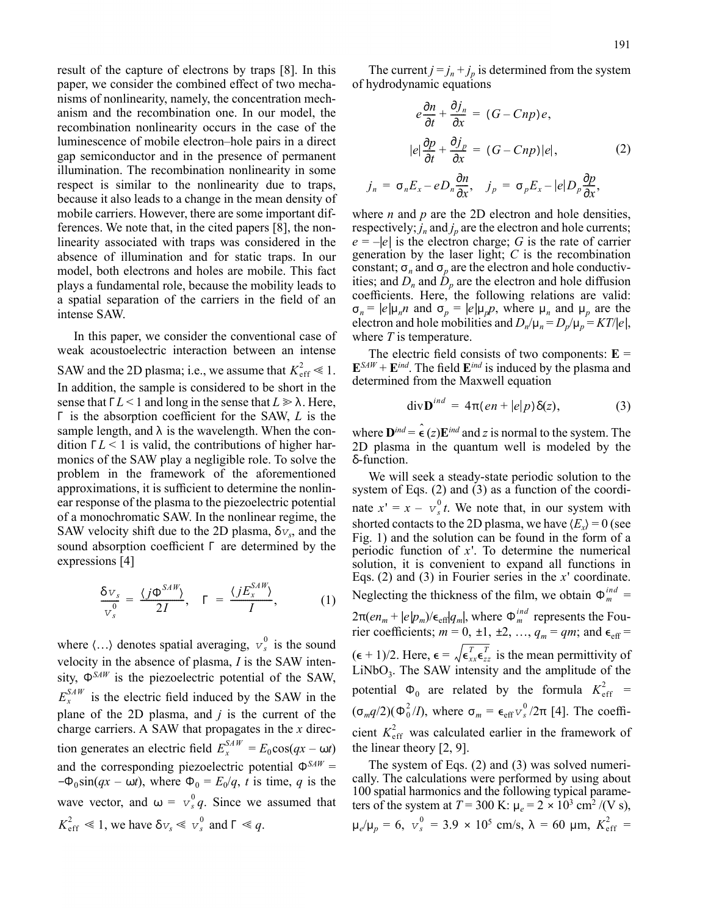result of the capture of electrons by traps [8]. In this paper, we consider the combined effect of two mechanisms of nonlinearity, namely, the concentration mechanism and the recombination one. In our model, the recombination nonlinearity occurs in the case of the luminescence of mobile electron–hole pairs in a direct gap semiconductor and in the presence of permanent illumination. The recombination nonlinearity in some respect is similar to the nonlinearity due to traps, because it also leads to a change in the mean density of mobile carriers. However, there are some important differences. We note that, in the cited papers [8], the nonlinearity associated with traps was considered in the absence of illumination and for static traps. In our model, both electrons and holes are mobile. This fact plays a fundamental role, because the mobility leads to a spatial separation of the carriers in the field of an intense SAW.

In this paper, we consider the conventional case of weak acoustoelectric interaction between an intense SAW and the 2D plasma; i.e., we assume that  $K_{\text{eff}}^2 \ll 1$ . In addition, the sample is considered to be short in the sense that  $\Gamma L < 1$  and long in the sense that  $L \ge \lambda$ . Here, Γ is the absorption coefficient for the SAW, *L* is the sample length, and  $\lambda$  is the wavelength. When the condition  $\Gamma L < 1$  is valid, the contributions of higher harmonics of the SAW play a negligible role. To solve the problem in the framework of the aforementioned approximations, it is sufficient to determine the nonlinear response of the plasma to the piezoelectric potential of a monochromatic SAW. In the nonlinear regime, the SAW velocity shift due to the 2D plasma,  $\delta v_s$ , and the sound absorption coefficient Γ are determined by the expressions [4]

$$
\frac{\delta v_s}{v_s^0} = \frac{\langle j\Phi^{SAW}\rangle}{2I}, \quad \Gamma = \frac{\langle jE_x^{SAW}\rangle}{I}, \quad (1)
$$

where  $\langle \ldots \rangle$  denotes spatial averaging,  $v_s^0$  is the sound velocity in the absence of plasma, *I* is the SAW intensity,  $\Phi^{SAW}$  is the piezoelectric potential of the SAW,  $E_x^{SAW}$  is the electric field induced by the SAW in the plane of the 2D plasma, and *j* is the current of the charge carriers. A SAW that propagates in the *x* direction generates an electric field  $E_x^{SAW} = E_0 \cos(qx - \omega t)$ and the corresponding piezoelectric potential  $\Phi^{SAW}$  =  $-\Phi_0 \sin(qx - \omega t)$ , where  $\Phi_0 = E_0/q$ , *t* is time, *q* is the wave vector, and  $\omega = v_s^0 q$ . Since we assumed that  $K_{\text{eff}}^2 \ll 1$ , we have  $\delta v_s \ll v_s^0$  and  $\Gamma \ll q$ .

The current  $j = j_n + j_p$  is determined from the system of hydrodynamic equations

$$
e\frac{\partial n}{\partial t} + \frac{\partial j_n}{\partial x} = (G - Cnp)e,
$$
  

$$
|e|\frac{\partial p}{\partial t} + \frac{\partial j_p}{\partial x} = (G - Cnp)|e|,
$$
 (2)  

$$
j_n = \sigma_n E_x - eD_n \frac{\partial n}{\partial x}, \quad j_p = \sigma_p E_x - |e|D_p \frac{\partial p}{\partial x},
$$

where *n* and *p* are the 2D electron and hole densities, respectively;  $\hat{j}_n$  and  $\hat{j}_p$  are the electron and hole currents;  $e = -|e|$  is the electron charge; *G* is the rate of carrier generation by the laser light; *C* is the recombination constant;  $\sigma_n$  and  $\sigma_p$  are the electron and hole conductivities; and  $D_n$  and  $\dot{D}_p$  are the electron and hole diffusion coefficients. Here, the following relations are valid:  $\sigma_n = |e|\mu_n n$  and  $\sigma_p = |e|\mu_p p$ , where  $\mu_n$  and  $\mu_p$  are the electron and hole mobilities and  $D_n/\mu_n = D_p/\mu_p = KT/|e|$ , where *T* is temperature.

The electric field consists of two components:  $E =$  $\mathbf{E}^{SAW} + \mathbf{E}^{ind}$ . The field  $\mathbf{E}^{ind}$  is induced by the plasma and determined from the Maxwell equation

$$
\operatorname{div} \mathbf{D}^{ind} = 4\pi (en + |e|p) \delta(z), \tag{3}
$$

where  $\mathbf{D}^{ind} = \hat{\epsilon}(z)\mathbf{E}^{ind}$  and *z* is normal to the system. The 2D plasma in the quantum well is modeled by the δ-function.

We will seek a steady-state periodic solution to the system of Eqs.  $(2)$  and  $(3)$  as a function of the coordinate  $x' = x - v_s^0 t$ . We note that, in our system with shorted contacts to the 2D plasma, we have  $\langle E_x \rangle = 0$  (see Fig. 1) and the solution can be found in the form of a periodic function of *x*'. To determine the numerical solution, it is convenient to expand all functions in Eqs. (2) and (3) in Fourier series in the *x*' coordinate. Neglecting the thickness of the film, we obtain  $\Phi_m^{ind}$  = 2π( $en_m + |e|p_m$ )/ $\epsilon_{\text{eff}}|q_m|$ , where  $\Phi_m^{ind}$  represents the Fourier coefficients;  $m = 0, \pm 1, \pm 2, \ldots, q_m = qm$ ; and  $\epsilon_{\text{eff}} =$  $(\epsilon + 1)/2$ . Here,  $\epsilon = \sqrt{\epsilon_{xx}^T \epsilon_{zz}^T}$  is the mean permittivity of  $LiNbO<sub>3</sub>$ . The SAW intensity and the amplitude of the potential  $\Phi_0$  are related by the formula  $K_{\text{eff}}^2$  =  $(\sigma_m q/2) (\Phi_0^2/I)$ , where  $\sigma_m = \epsilon_{\text{eff}} v_s^0/2\pi$  [4]. The coefficient  $K_{\text{eff}}^2$  was calculated earlier in the framework of the linear theory [2, 9].

The system of Eqs. (2) and (3) was solved numerically. The calculations were performed by using about 100 spatial harmonics and the following typical parameters of the system at  $T = 300 \text{ K}$ :  $\mu_e = 2 \times 10^3 \text{ cm}^2 / (\text{V s})$ ,  $\mu_e/\mu_p = 6$ ,  $v_s^0 = 3.9 \times 10^5$  cm/s,  $\lambda = 60$  µm,  $K_{\text{eff}}^2 =$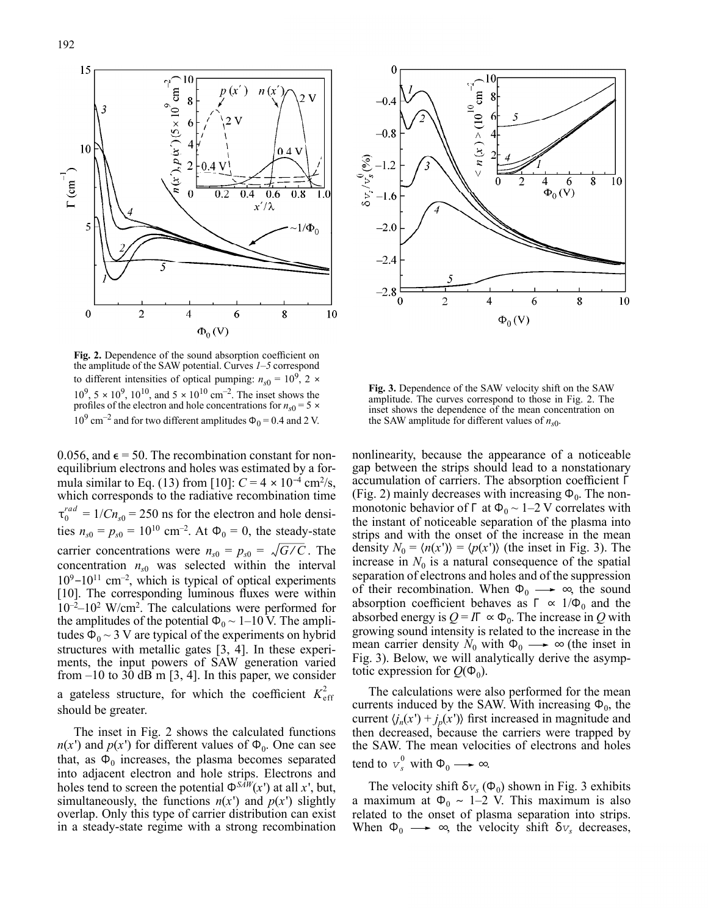

**Fig. 2.** Dependence of the sound absorption coefficient on the amplitude of the SAW potential. Curves *1*–*5* correspond to different intensities of optical pumping:  $n_{s0} = 10^9$ , 2 ×  $10^9$ ,  $5 \times 10^9$ ,  $10^{10}$ , and  $5 \times 10^{10}$  cm<sup>-2</sup>. The inset shows the profiles of the electron and hole concentrations for  $n_{s0} = 5 \times$  $10^9$  cm<sup>-2</sup> and for two different amplitudes  $\Phi_0 = 0.4$  and 2 V.

0.056, and  $\epsilon$  = 50. The recombination constant for nonequilibrium electrons and holes was estimated by a formula similar to Eq. (13) from [10]:  $C = 4 \times 10^{-4}$  cm<sup>2</sup>/s, which corresponds to the radiative recombination time  $\tau_0^{rad} = 1/Cn_{s0} = 250$  ns for the electron and hole densities  $n_{s0} = p_{s0} = 10^{10}$  cm<sup>-2</sup>. At  $\Phi_0 = 0$ , the steady-state carrier concentrations were  $n_{s0} = p_{s0} = \sqrt{G/C}$ . The concentration  $n_{s0}$  was selected within the interval  $10^9 - 10^{11}$  cm<sup>-2</sup>, which is typical of optical experiments [10]. The corresponding luminous fluxes were within 10 –2–10 <sup>2</sup> W/cm<sup>2</sup> . The calculations were performed for the amplitudes of the potential  $\Phi_0 \sim 1$ –10 V. The amplitudes  $\Phi_0 \sim 3$  V are typical of the experiments on hybrid structures with metallic gates [3, 4]. In these experiments, the input powers of SAW generation varied from  $-10$  to 30 dB m [3, 4]. In this paper, we consider a gateless structure, for which the coefficient  $K_{\text{eff}}^2$ *G* ⁄ *C*

The inset in Fig. 2 shows the calculated functions  $n(x')$  and  $p(x')$  for different values of  $\Phi_0$ . One can see that, as  $\Phi_0$  increases, the plasma becomes separated into adjacent electron and hole strips. Electrons and holes tend to screen the potential  $\Phi^{S\bar{A}W}(x')$  at all *x*', but, simultaneously, the functions  $n(x')$  and  $p(x')$  slightly overlap. Only this type of carrier distribution can exist in a steady-state regime with a strong recombination

should be greater.



**Fig. 3.** Dependence of the SAW velocity shift on the SAW amplitude. The curves correspond to those in Fig. 2. The inset shows the dependence of the mean concentration on the SAW amplitude for different values of  $n_{s0}$ .

nonlinearity, because the appearance of a noticeable gap between the strips should lead to a nonstationary accumulation of carriers. The absorption coefficient Γ (Fig. 2) mainly decreases with increasing  $\Phi_0$ . The nonmonotonic behavior of Γ at  $\Phi_0 \sim 1-2$  V correlates with the instant of noticeable separation of the plasma into strips and with the onset of the increase in the mean density  $N_0 = \langle n(x') \rangle = \langle p(x') \rangle$  (the inset in Fig. 3). The increase in  $N_0$  is a natural consequence of the spatial separation of electrons and holes and of the suppression of their recombination. When  $\Phi_0 \longrightarrow \infty$ , the sound absorption coefficient behaves as  $\Gamma \propto 1/\Phi_0$  and the absorbed energy is  $Q = I \Gamma \propto \Phi_0$ . The increase in *Q* with growing sound intensity is related to the increase in the mean carrier density  $N_0$  with  $\Phi_0 \longrightarrow \infty$  (the inset in Fig. 3). Below, we will analytically derive the asymptotic expression for  $Q(\Phi_0)$ .

The calculations were also performed for the mean currents induced by the SAW. With increasing  $\Phi_0$ , the current  $\langle j_n(x') + j_p(x') \rangle$  first increased in magnitude and then decreased, because the carriers were trapped by the SAW. The mean velocities of electrons and holes tend to  $v_s^0$  with  $\Phi_0 \longrightarrow \infty$ .

The velocity shift  $\delta v_s(\Phi_0)$  shown in Fig. 3 exhibits a maximum at  $\Phi_0 \sim 1-2$  V. This maximum is also related to the onset of plasma separation into strips. When  $\Phi_0 \longrightarrow \infty$ , the velocity shift  $\delta v_s$  decreases,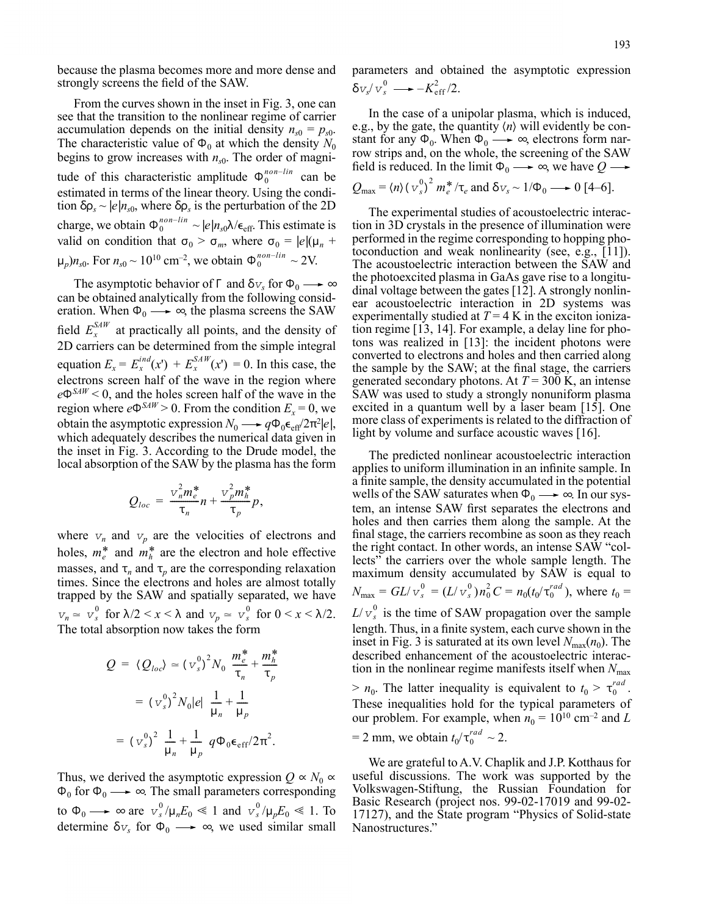because the plasma becomes more and more dense and strongly screens the field of the SAW.

From the curves shown in the inset in Fig. 3, one can see that the transition to the nonlinear regime of carrier accumulation depends on the initial density  $n_{s0} = p_{s0}$ . The characteristic value of  $\Phi_0$  at which the density  $N_0$ begins to grow increases with *n<sup>s</sup>*<sup>0</sup> . The order of magnitude of this characteristic amplitude  $\Phi_0^{non-lin}$  can be estimated in terms of the linear theory. Using the condition  $\delta \rho_s \sim |e| n_{s0}$ , where  $\delta \rho_s$  is the perturbation of the 2D charge, we obtain  $\Phi_0^{non-lin} \sim |e|n_{s0}\lambda/\epsilon_{\text{eff}}$ . This estimate is valid on condition that  $\sigma_0 > \sigma_m$ , where  $\sigma_0 = |e|(\mu_n +$  $\mu_p$ )*n*<sub>s0</sub>. For  $n_{s0} \sim 10^{10}$  cm<sup>-2</sup>, we obtain  $\Phi_0^{non-lin} \sim 2V$ .

The asymptotic behavior of  $\Gamma$  and  $\delta v_s$  for  $\Phi_0 \longrightarrow \infty$ can be obtained analytically from the following consideration. When  $\Phi_0 \longrightarrow \infty$ , the plasma screens the SAW field  $E_x^{SAW}$  at practically all points, and the density of 2D carriers can be determined from the simple integral equation  $E_x = E_x^{ind}(x^r) + E_x^{SAW}(x^r) = 0$ . In this case, the electrons screen half of the wave in the region where *e*Φ*SAW* < 0, and the holes screen half of the wave in the region where  $e^{\Phi S A W} > 0$ . From the condition  $E_x = 0$ , we obtain the asymptotic expression  $N_0 \longrightarrow q \Phi_0 \epsilon_{\text{eff}}/2\pi^2 |e|$ , which adequately describes the numerical data given in the inset in Fig. 3. According to the Drude model, the local absorption of the SAW by the plasma has the form

$$
Q_{loc}=\frac{v_m^2m_e^*}{\tau_n}n+\frac{v_p^2m_h^*}{\tau_p}p,
$$

where  $v_n$  and  $v_p$  are the velocities of electrons and holes,  $m_e^*$  and  $m_h^*$  are the electron and hole effective masses, and  $\tau_n$  and  $\tau_p$  are the corresponding relaxation times. Since the electrons and holes are almost totally trapped by the SAW and spatially separated, we have  $v_n \approx v_s^0$  for  $\lambda/2 < x < \lambda$  and  $v_p \approx v_s^0$  for  $0 < x < \lambda/2$ . The total absorption now takes the form

$$
Q = \langle Q_{loc} \rangle \approx (v_s^0)^2 N_0 \frac{m_e^*}{\tau_n} + \frac{m_h^*}{\tau_p}
$$
  
=  $(v_s^0)^2 N_0 |e| \frac{1}{\mu_n} + \frac{1}{\mu_p}$   
=  $(v_s^0)^2 \frac{1}{\mu_n} + \frac{1}{\mu_p} q \Phi_0 \epsilon_{eff} / 2\pi^2$ .

Thus, we derived the asymptotic expression  $Q \propto N_0 \propto$  $\Phi_0$  for  $\Phi_0 \longrightarrow \infty$ . The small parameters corresponding to  $\Phi_0 \longrightarrow \infty$  are  $v_s^0 / \mu_n E_0 \ll 1$  and  $v_s^0 / \mu_p E_0 \ll 1$ . To determine  $\delta v_s$  for  $\Phi_0 \longrightarrow \infty$ , we used similar small parameters and obtained the asymptotic expression  $\delta v_s / v_s^0 \longrightarrow -K_{\text{eff}}^2/2.$ 

In the case of a unipolar plasma, which is induced, e.g., by the gate, the quantity  $\langle n \rangle$  will evidently be constant for any  $\Phi_0$ . When  $\Phi_0 \longrightarrow \infty$ , electrons form narrow strips and, on the whole, the screening of the SAW field is reduced. In the limit  $\Phi_0 \longrightarrow \infty$ , we have  $Q \longrightarrow$ 

$$
Q_{\text{max}} = \langle n \rangle (v_s^0)^2 m_e^* / \tau_e
$$
 and  $\delta v_s \sim 1/\Phi_0 \longrightarrow 0$  [4–6].

The experimental studies of acoustoelectric interaction in 3D crystals in the presence of illumination were performed in the regime corresponding to hopping photoconduction and weak nonlinearity (see, e.g., [11]). The acoustoelectric interaction between the SAW and the photoexcited plasma in GaAs gave rise to a longitudinal voltage between the gates [12]. A strongly nonlinear acoustoelectric interaction in 2D systems was experimentally studied at  $T = 4$  K in the exciton ionization regime [13, 14]. For example, a delay line for photons was realized in [13]: the incident photons were converted to electrons and holes and then carried along the sample by the SAW; at the final stage, the carriers generated secondary photons. At  $T = 300$  K, an intense SAW was used to study a strongly nonuniform plasma excited in a quantum well by a laser beam [15]. One more class of experiments is related to the diffraction of light by volume and surface acoustic waves [16].

The predicted nonlinear acoustoelectric interaction applies to uniform illumination in an infinite sample. In a finite sample, the density accumulated in the potential wells of the SAW saturates when  $\Phi_0 \longrightarrow \infty$ . In our system, an intense SAW first separates the electrons and holes and then carries them along the sample. At the final stage, the carriers recombine as soon as they reach the right contact. In other words, an intense SAW "collects" the carriers over the whole sample length. The maximum density accumulated by SAW is equal to  $N_{\text{max}} = GL/v_s^0 = (L/v_s^0)n_0^2 C = n_0(t_0/\tau_0^{rad})$ , where  $t_0 =$  $L/v_s^0$  is the time of SAW propagation over the sample length. Thus, in a finite system, each curve shown in the inset in Fig. 3 is saturated at its own level  $N_{\text{max}}(n_0)$ . The described enhancement of the acoustoelectric interaction in the nonlinear regime manifests itself when  $N_{\text{max}}$  $> n_0$ . The latter inequality is equivalent to  $t_0 > \tau_0^{rad}$ . These inequalities hold for the typical parameters of our problem. For example, when  $n_0 = 10^{10}$  cm<sup>-2</sup> and *L*  $= 2$  mm, we obtain  $t_0 / \tau_0^{rad} \sim 2$ .

We are grateful to A.V. Chaplik and J.P. Kotthaus for useful discussions. The work was supported by the Volkswagen-Stiftung, the Russian Foundation for Basic Research (project nos. 99-02-17019 and 99-02- 17127), and the State program "Physics of Solid-state Nanostructures."